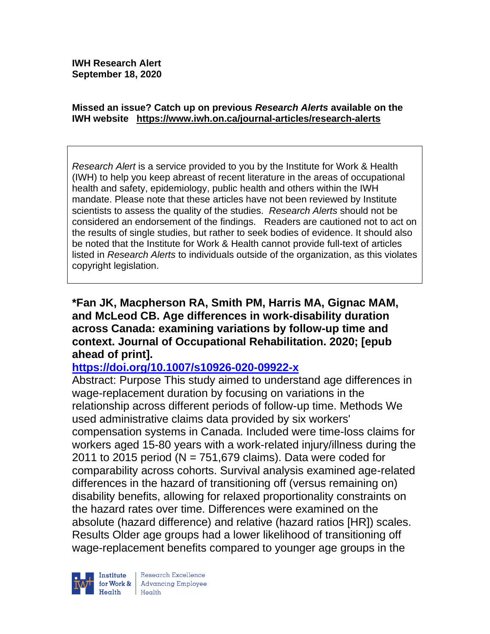**IWH Research Alert September 18, 2020**

#### **Missed an issue? Catch up on previous** *Research Alerts* **available on the [IWH website](http://www.iwh.on.ca/research-alerts) <https://www.iwh.on.ca/journal-articles/research-alerts>**

*Research Alert* is a service provided to you by the Institute for Work & Health (IWH) to help you keep abreast of recent literature in the areas of occupational health and safety, epidemiology, public health and others within the IWH mandate. Please note that these articles have not been reviewed by Institute scientists to assess the quality of the studies. *Research Alerts* should not be considered an endorsement of the findings. Readers are cautioned not to act on the results of single studies, but rather to seek bodies of evidence. It should also be noted that the Institute for Work & Health cannot provide full-text of articles listed in *Research Alerts* to individuals outside of the organization, as this violates copyright legislation.

### **\*Fan JK, Macpherson RA, Smith PM, Harris MA, Gignac MAM, and McLeod CB. Age differences in work-disability duration across Canada: examining variations by follow-up time and context. Journal of Occupational Rehabilitation. 2020; [epub ahead of print].**

# **<https://doi.org/10.1007/s10926-020-09922-x>**

Abstract: Purpose This study aimed to understand age differences in wage-replacement duration by focusing on variations in the relationship across different periods of follow-up time. Methods We used administrative claims data provided by six workers' compensation systems in Canada. Included were time-loss claims for workers aged 15-80 years with a work-related injury/illness during the 2011 to 2015 period ( $N = 751,679$  claims). Data were coded for comparability across cohorts. Survival analysis examined age-related differences in the hazard of transitioning off (versus remaining on) disability benefits, allowing for relaxed proportionality constraints on the hazard rates over time. Differences were examined on the absolute (hazard difference) and relative (hazard ratios [HR]) scales. Results Older age groups had a lower likelihood of transitioning off wage-replacement benefits compared to younger age groups in the

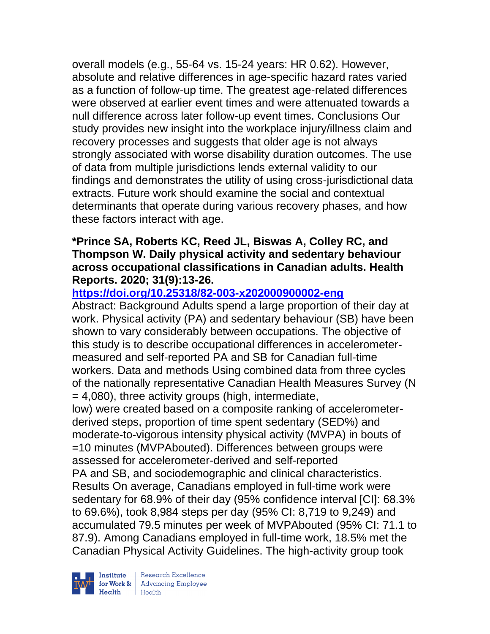overall models (e.g., 55-64 vs. 15-24 years: HR 0.62). However, absolute and relative differences in age-specific hazard rates varied as a function of follow-up time. The greatest age-related differences were observed at earlier event times and were attenuated towards a null difference across later follow-up event times. Conclusions Our study provides new insight into the workplace injury/illness claim and recovery processes and suggests that older age is not always strongly associated with worse disability duration outcomes. The use of data from multiple jurisdictions lends external validity to our findings and demonstrates the utility of using cross-jurisdictional data extracts. Future work should examine the social and contextual determinants that operate during various recovery phases, and how these factors interact with age.

### **\*Prince SA, Roberts KC, Reed JL, Biswas A, Colley RC, and Thompson W. Daily physical activity and sedentary behaviour across occupational classifications in Canadian adults. Health Reports. 2020; 31(9):13-26.**

# **<https://doi.org/10.25318/82-003-x202000900002-eng>**

Abstract: Background Adults spend a large proportion of their day at work. Physical activity (PA) and sedentary behaviour (SB) have been shown to vary considerably between occupations. The objective of this study is to describe occupational differences in accelerometermeasured and self-reported PA and SB for Canadian full-time workers. Data and methods Using combined data from three cycles of the nationally representative Canadian Health Measures Survey (N = 4,080), three activity groups (high, intermediate, low) were created based on a composite ranking of accelerometer-

derived steps, proportion of time spent sedentary (SED%) and moderate-to-vigorous intensity physical activity (MVPA) in bouts of =10 minutes (MVPAbouted). Differences between groups were assessed for accelerometer-derived and self-reported PA and SB, and sociodemographic and clinical characteristics. Results On average, Canadians employed in full-time work were sedentary for 68.9% of their day (95% confidence interval [CI]: 68.3% to 69.6%), took 8,984 steps per day (95% CI: 8,719 to 9,249) and accumulated 79.5 minutes per week of MVPAbouted (95% CI: 71.1 to 87.9). Among Canadians employed in full-time work, 18.5% met the Canadian Physical Activity Guidelines. The high-activity group took



| Research Excellence for Work & Advancing Employee<br>Health Health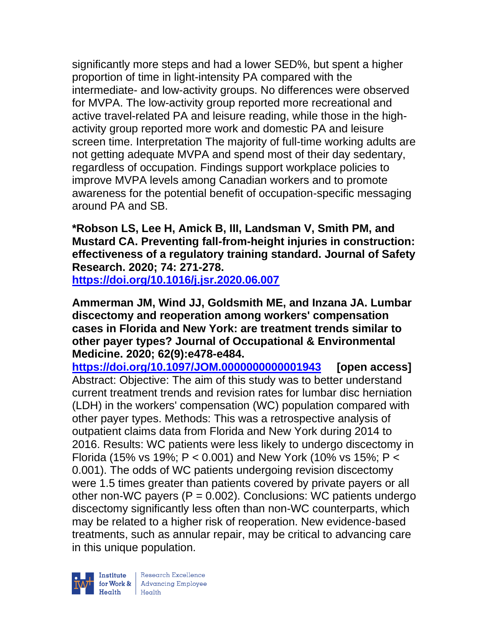significantly more steps and had a lower SED%, but spent a higher proportion of time in light-intensity PA compared with the intermediate- and low-activity groups. No differences were observed for MVPA. The low-activity group reported more recreational and active travel-related PA and leisure reading, while those in the highactivity group reported more work and domestic PA and leisure screen time. Interpretation The majority of full-time working adults are not getting adequate MVPA and spend most of their day sedentary, regardless of occupation. Findings support workplace policies to improve MVPA levels among Canadian workers and to promote awareness for the potential benefit of occupation-specific messaging around PA and SB.

**\*Robson LS, Lee H, Amick B, III, Landsman V, Smith PM, and Mustard CA. Preventing fall-from-height injuries in construction: effectiveness of a regulatory training standard. Journal of Safety Research. 2020; 74: 271-278.**

**<https://doi.org/10.1016/j.jsr.2020.06.007>** 

**Ammerman JM, Wind JJ, Goldsmith ME, and Inzana JA. Lumbar discectomy and reoperation among workers' compensation cases in Florida and New York: are treatment trends similar to other payer types? Journal of Occupational & Environmental Medicine. 2020; 62(9):e478-e484.** 

**<https://doi.org/10.1097/JOM.0000000000001943> [open access]** Abstract: Objective: The aim of this study was to better understand current treatment trends and revision rates for lumbar disc herniation (LDH) in the workers' compensation (WC) population compared with other payer types. Methods: This was a retrospective analysis of outpatient claims data from Florida and New York during 2014 to 2016. Results: WC patients were less likely to undergo discectomy in Florida (15% vs 19%; P < 0.001) and New York (10% vs 15%; P < 0.001). The odds of WC patients undergoing revision discectomy were 1.5 times greater than patients covered by private payers or all other non-WC payers  $(P = 0.002)$ . Conclusions: WC patients undergo discectomy significantly less often than non-WC counterparts, which may be related to a higher risk of reoperation. New evidence-based treatments, such as annular repair, may be critical to advancing care in this unique population.

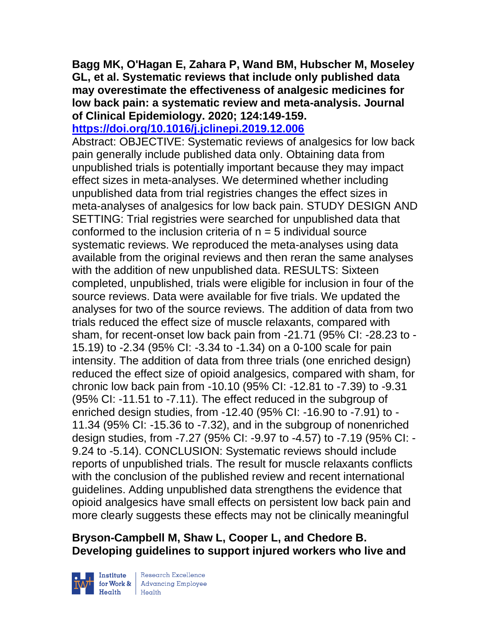**Bagg MK, O'Hagan E, Zahara P, Wand BM, Hubscher M, Moseley GL, et al. Systematic reviews that include only published data may overestimate the effectiveness of analgesic medicines for low back pain: a systematic review and meta-analysis. Journal of Clinical Epidemiology. 2020; 124:149-159.** 

**<https://doi.org/10.1016/j.jclinepi.2019.12.006>** 

Abstract: OBJECTIVE: Systematic reviews of analgesics for low back pain generally include published data only. Obtaining data from unpublished trials is potentially important because they may impact effect sizes in meta-analyses. We determined whether including unpublished data from trial registries changes the effect sizes in meta-analyses of analgesics for low back pain. STUDY DESIGN AND SETTING: Trial registries were searched for unpublished data that conformed to the inclusion criteria of  $n = 5$  individual source systematic reviews. We reproduced the meta-analyses using data available from the original reviews and then reran the same analyses with the addition of new unpublished data. RESULTS: Sixteen completed, unpublished, trials were eligible for inclusion in four of the source reviews. Data were available for five trials. We updated the analyses for two of the source reviews. The addition of data from two trials reduced the effect size of muscle relaxants, compared with sham, for recent-onset low back pain from -21.71 (95% CI: -28.23 to - 15.19) to -2.34 (95% CI: -3.34 to -1.34) on a 0-100 scale for pain intensity. The addition of data from three trials (one enriched design) reduced the effect size of opioid analgesics, compared with sham, for chronic low back pain from -10.10 (95% CI: -12.81 to -7.39) to -9.31 (95% CI: -11.51 to -7.11). The effect reduced in the subgroup of enriched design studies, from -12.40 (95% CI: -16.90 to -7.91) to - 11.34 (95% CI: -15.36 to -7.32), and in the subgroup of nonenriched design studies, from -7.27 (95% CI: -9.97 to -4.57) to -7.19 (95% CI: - 9.24 to -5.14). CONCLUSION: Systematic reviews should include reports of unpublished trials. The result for muscle relaxants conflicts with the conclusion of the published review and recent international guidelines. Adding unpublished data strengthens the evidence that opioid analgesics have small effects on persistent low back pain and more clearly suggests these effects may not be clinically meaningful

# **Bryson-Campbell M, Shaw L, Cooper L, and Chedore B. Developing guidelines to support injured workers who live and**



 $\begin{tabular}{|l|} Institute & Research Excellence \\ \hline for Work & Advancing Employee \\ Health & Health \\ \end{tabular}$ | Research Excellence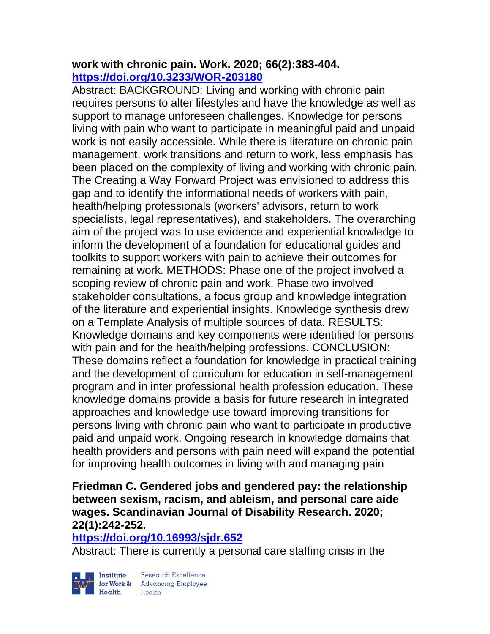### **work with chronic pain. Work. 2020; 66(2):383-404. <https://doi.org/10.3233/WOR-203180>**

Abstract: BACKGROUND: Living and working with chronic pain requires persons to alter lifestyles and have the knowledge as well as support to manage unforeseen challenges. Knowledge for persons living with pain who want to participate in meaningful paid and unpaid work is not easily accessible. While there is literature on chronic pain management, work transitions and return to work, less emphasis has been placed on the complexity of living and working with chronic pain. The Creating a Way Forward Project was envisioned to address this gap and to identify the informational needs of workers with pain, health/helping professionals (workers' advisors, return to work specialists, legal representatives), and stakeholders. The overarching aim of the project was to use evidence and experiential knowledge to inform the development of a foundation for educational guides and toolkits to support workers with pain to achieve their outcomes for remaining at work. METHODS: Phase one of the project involved a scoping review of chronic pain and work. Phase two involved stakeholder consultations, a focus group and knowledge integration of the literature and experiential insights. Knowledge synthesis drew on a Template Analysis of multiple sources of data. RESULTS: Knowledge domains and key components were identified for persons with pain and for the health/helping professions. CONCLUSION: These domains reflect a foundation for knowledge in practical training and the development of curriculum for education in self-management program and in inter professional health profession education. These knowledge domains provide a basis for future research in integrated approaches and knowledge use toward improving transitions for persons living with chronic pain who want to participate in productive paid and unpaid work. Ongoing research in knowledge domains that health providers and persons with pain need will expand the potential for improving health outcomes in living with and managing pain

# **Friedman C. Gendered jobs and gendered pay: the relationship between sexism, racism, and ableism, and personal care aide wages. Scandinavian Journal of Disability Research. 2020; 22(1):242-252.**

#### **<https://doi.org/10.16993/sjdr.652>**

Abstract: There is currently a personal care staffing crisis in the



 $\begin{tabular}{|l|} Institute & Research Excellence \\ \hline for Work & Advancing Employee \\ Health & Health \\ \end{tabular}$ | Research Excellence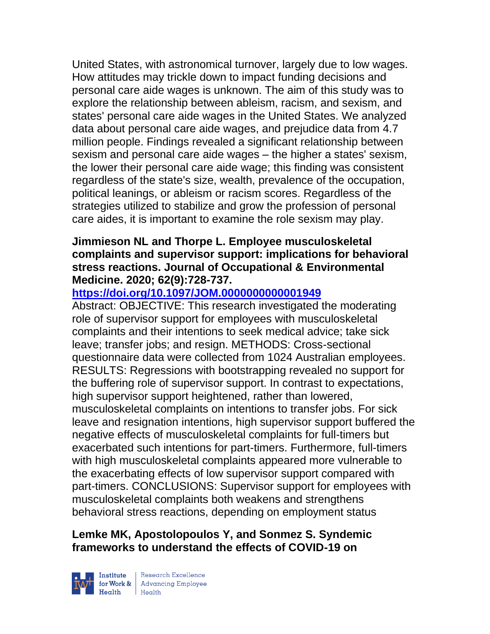United States, with astronomical turnover, largely due to low wages. How attitudes may trickle down to impact funding decisions and personal care aide wages is unknown. The aim of this study was to explore the relationship between ableism, racism, and sexism, and states' personal care aide wages in the United States. We analyzed data about personal care aide wages, and prejudice data from 4.7 million people. Findings revealed a significant relationship between sexism and personal care aide wages – the higher a states' sexism, the lower their personal care aide wage; this finding was consistent regardless of the state's size, wealth, prevalence of the occupation, political leanings, or ableism or racism scores. Regardless of the strategies utilized to stabilize and grow the profession of personal care aides, it is important to examine the role sexism may play.

### **Jimmieson NL and Thorpe L. Employee musculoskeletal complaints and supervisor support: implications for behavioral stress reactions. Journal of Occupational & Environmental Medicine. 2020; 62(9):728-737.**

### **<https://doi.org/10.1097/JOM.0000000000001949>**

Abstract: OBJECTIVE: This research investigated the moderating role of supervisor support for employees with musculoskeletal complaints and their intentions to seek medical advice; take sick leave; transfer jobs; and resign. METHODS: Cross-sectional questionnaire data were collected from 1024 Australian employees. RESULTS: Regressions with bootstrapping revealed no support for the buffering role of supervisor support. In contrast to expectations, high supervisor support heightened, rather than lowered, musculoskeletal complaints on intentions to transfer jobs. For sick leave and resignation intentions, high supervisor support buffered the negative effects of musculoskeletal complaints for full-timers but exacerbated such intentions for part-timers. Furthermore, full-timers with high musculoskeletal complaints appeared more vulnerable to the exacerbating effects of low supervisor support compared with part-timers. CONCLUSIONS: Supervisor support for employees with musculoskeletal complaints both weakens and strengthens behavioral stress reactions, depending on employment status

### **Lemke MK, Apostolopoulos Y, and Sonmez S. Syndemic frameworks to understand the effects of COVID-19 on**



| Research Excellence for Work & Advancing Employee<br>Health Health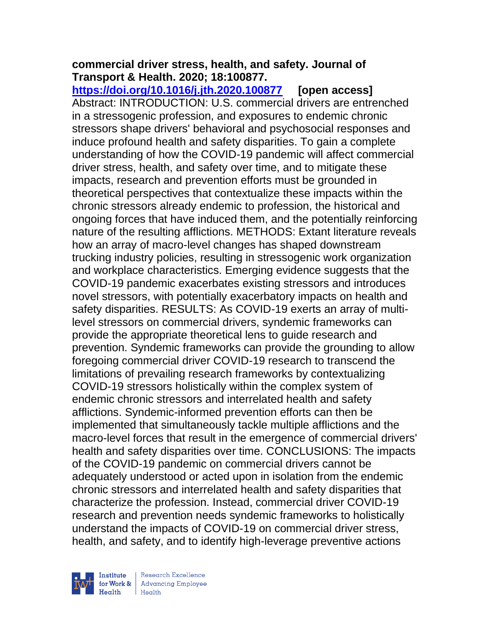# **commercial driver stress, health, and safety. Journal of Transport & Health. 2020; 18:100877.**

**<https://doi.org/10.1016/j.jth.2020.100877> [open access]** Abstract: INTRODUCTION: U.S. commercial drivers are entrenched in a stressogenic profession, and exposures to endemic chronic stressors shape drivers' behavioral and psychosocial responses and induce profound health and safety disparities. To gain a complete understanding of how the COVID-19 pandemic will affect commercial driver stress, health, and safety over time, and to mitigate these impacts, research and prevention efforts must be grounded in theoretical perspectives that contextualize these impacts within the chronic stressors already endemic to profession, the historical and ongoing forces that have induced them, and the potentially reinforcing nature of the resulting afflictions. METHODS: Extant literature reveals how an array of macro-level changes has shaped downstream trucking industry policies, resulting in stressogenic work organization and workplace characteristics. Emerging evidence suggests that the COVID-19 pandemic exacerbates existing stressors and introduces novel stressors, with potentially exacerbatory impacts on health and safety disparities. RESULTS: As COVID-19 exerts an array of multilevel stressors on commercial drivers, syndemic frameworks can provide the appropriate theoretical lens to guide research and prevention. Syndemic frameworks can provide the grounding to allow foregoing commercial driver COVID-19 research to transcend the limitations of prevailing research frameworks by contextualizing COVID-19 stressors holistically within the complex system of endemic chronic stressors and interrelated health and safety afflictions. Syndemic-informed prevention efforts can then be implemented that simultaneously tackle multiple afflictions and the macro-level forces that result in the emergence of commercial drivers' health and safety disparities over time. CONCLUSIONS: The impacts of the COVID-19 pandemic on commercial drivers cannot be adequately understood or acted upon in isolation from the endemic chronic stressors and interrelated health and safety disparities that characterize the profession. Instead, commercial driver COVID-19 research and prevention needs syndemic frameworks to holistically understand the impacts of COVID-19 on commercial driver stress, health, and safety, and to identify high-leverage preventive actions

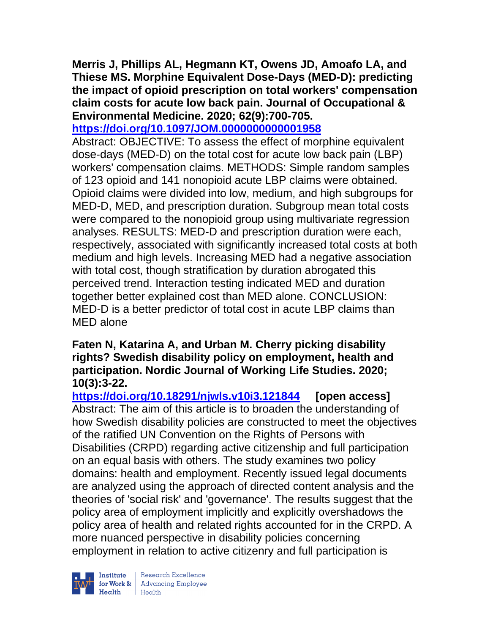**Merris J, Phillips AL, Hegmann KT, Owens JD, Amoafo LA, and Thiese MS. Morphine Equivalent Dose-Days (MED-D): predicting the impact of opioid prescription on total workers' compensation claim costs for acute low back pain. Journal of Occupational & Environmental Medicine. 2020; 62(9):700-705.** 

**<https://doi.org/10.1097/JOM.0000000000001958>** 

Abstract: OBJECTIVE: To assess the effect of morphine equivalent dose-days (MED-D) on the total cost for acute low back pain (LBP) workers' compensation claims. METHODS: Simple random samples of 123 opioid and 141 nonopioid acute LBP claims were obtained. Opioid claims were divided into low, medium, and high subgroups for MED-D, MED, and prescription duration. Subgroup mean total costs were compared to the nonopioid group using multivariate regression analyses. RESULTS: MED-D and prescription duration were each, respectively, associated with significantly increased total costs at both medium and high levels. Increasing MED had a negative association with total cost, though stratification by duration abrogated this perceived trend. Interaction testing indicated MED and duration together better explained cost than MED alone. CONCLUSION: MED-D is a better predictor of total cost in acute LBP claims than MED alone

### **Faten N, Katarina A, and Urban M. Cherry picking disability rights? Swedish disability policy on employment, health and participation. Nordic Journal of Working Life Studies. 2020; 10(3):3-22.**

**<https://doi.org/10.18291/njwls.v10i3.121844> [open access]** Abstract: The aim of this article is to broaden the understanding of how Swedish disability policies are constructed to meet the objectives of the ratified UN Convention on the Rights of Persons with Disabilities (CRPD) regarding active citizenship and full participation on an equal basis with others. The study examines two policy domains: health and employment. Recently issued legal documents are analyzed using the approach of directed content analysis and the theories of 'social risk' and 'governance'. The results suggest that the policy area of employment implicitly and explicitly overshadows the policy area of health and related rights accounted for in the CRPD. A more nuanced perspective in disability policies concerning employment in relation to active citizenry and full participation is



Institute Research Excellence<br>
for Work & Advancing Employee<br>
Health Health Health Health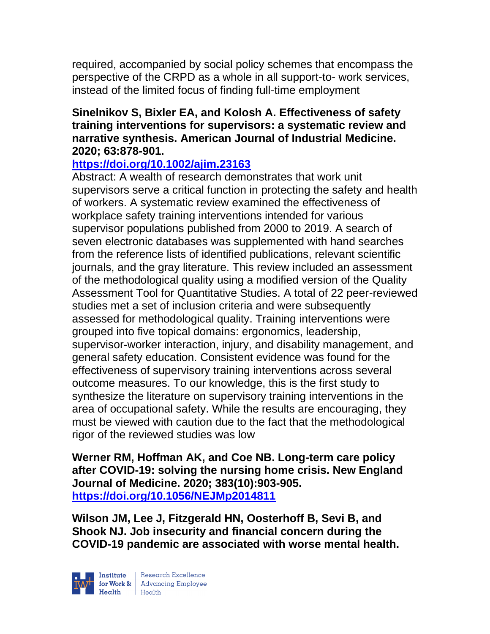required, accompanied by social policy schemes that encompass the perspective of the CRPD as a whole in all support-to- work services, instead of the limited focus of finding full-time employment

### **Sinelnikov S, Bixler EA, and Kolosh A. Effectiveness of safety training interventions for supervisors: a systematic review and narrative synthesis. American Journal of Industrial Medicine. 2020; 63:878-901.**

# **<https://doi.org/10.1002/ajim.23163>**

Abstract: A wealth of research demonstrates that work unit supervisors serve a critical function in protecting the safety and health of workers. A systematic review examined the effectiveness of workplace safety training interventions intended for various supervisor populations published from 2000 to 2019. A search of seven electronic databases was supplemented with hand searches from the reference lists of identified publications, relevant scientific journals, and the gray literature. This review included an assessment of the methodological quality using a modified version of the Quality Assessment Tool for Quantitative Studies. A total of 22 peer-reviewed studies met a set of inclusion criteria and were subsequently assessed for methodological quality. Training interventions were grouped into five topical domains: ergonomics, leadership, supervisor-worker interaction, injury, and disability management, and general safety education. Consistent evidence was found for the effectiveness of supervisory training interventions across several outcome measures. To our knowledge, this is the first study to synthesize the literature on supervisory training interventions in the area of occupational safety. While the results are encouraging, they must be viewed with caution due to the fact that the methodological rigor of the reviewed studies was low

**Werner RM, Hoffman AK, and Coe NB. Long-term care policy after COVID-19: solving the nursing home crisis. New England Journal of Medicine. 2020; 383(10):903-905. <https://doi.org/10.1056/NEJMp2014811>** 

**Wilson JM, Lee J, Fitzgerald HN, Oosterhoff B, Sevi B, and Shook NJ. Job insecurity and financial concern during the COVID-19 pandemic are associated with worse mental health.**